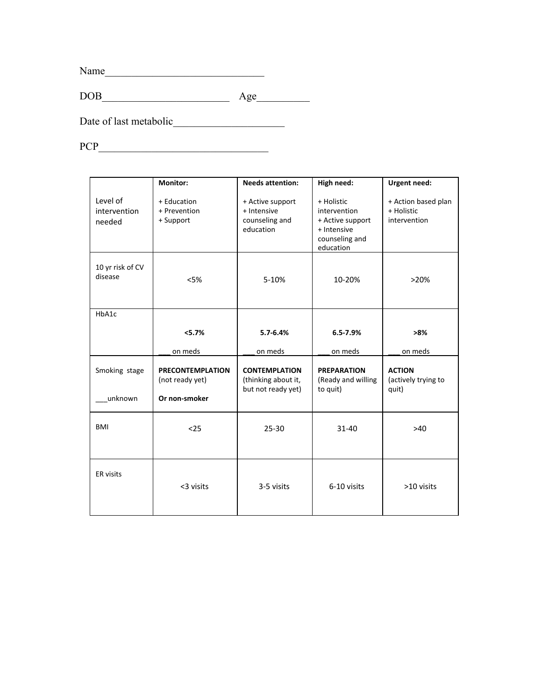Name\_\_\_\_\_\_\_\_\_\_\_\_\_\_\_\_\_\_\_\_\_\_\_\_\_\_\_\_\_\_

DOB\_\_\_\_\_\_\_\_\_\_\_\_\_\_\_\_\_\_\_\_\_\_\_\_ Age\_\_\_\_\_\_\_\_\_\_

Date of last metabolic\_\_\_\_\_\_\_\_\_\_\_\_\_\_\_\_\_\_\_\_\_

PCP\_\_\_\_\_\_\_\_\_\_\_\_\_\_\_\_\_\_\_\_\_\_\_\_\_\_\_\_\_\_\_\_

|                                    | <b>Monitor:</b>                                             | <b>Needs attention:</b>                                           | High need:                                                                                   | <b>Urgent need:</b>                               |
|------------------------------------|-------------------------------------------------------------|-------------------------------------------------------------------|----------------------------------------------------------------------------------------------|---------------------------------------------------|
| Level of<br>intervention<br>needed | + Education<br>+ Prevention<br>+ Support                    | + Active support<br>+ Intensive<br>counseling and<br>education    | + Holistic<br>intervention<br>+ Active support<br>+ Intensive<br>counseling and<br>education | + Action based plan<br>+ Holistic<br>intervention |
| 10 yr risk of CV<br>disease        | < 5%                                                        | 5-10%                                                             | 10-20%                                                                                       | >20%                                              |
| HbA1c                              |                                                             |                                                                   |                                                                                              |                                                   |
|                                    | < 5.7%                                                      | $5.7 - 6.4%$                                                      | $6.5 - 7.9%$                                                                                 | >8%                                               |
|                                    | on meds                                                     | on meds                                                           | on meds                                                                                      | on meds                                           |
| Smoking stage<br>unknown           | <b>PRECONTEMPLATION</b><br>(not ready yet)<br>Or non-smoker | <b>CONTEMPLATION</b><br>(thinking about it,<br>but not ready yet) | <b>PREPARATION</b><br>(Ready and willing<br>to quit)                                         | <b>ACTION</b><br>(actively trying to<br>quit)     |
| <b>BMI</b>                         | $25$                                                        | $25 - 30$                                                         | $31 - 40$                                                                                    | >40                                               |
| <b>ER</b> visits                   | <3 visits                                                   | 3-5 visits                                                        | 6-10 visits                                                                                  | >10 visits                                        |